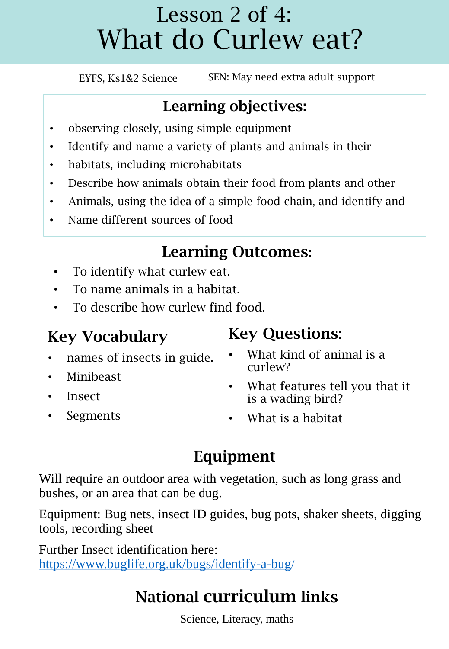### Lesson 2 of 4: What do Curlew eat?

EYFS, Ks1&2 Science SEN: May need extra adult support

### Learning objectives:

- observing closely, using simple equipment
- Identify and name a variety of plants and animals in their
- habitats, including microhabitats
- Describe how animals obtain their food from plants and other
- Animals, using the idea of a simple food chain, and identify and
- Name different sources of food

### Learning Outcomes:

- To identify what curlew eat.
- To name animals in a habitat.
- To describe how curlew find food.

### Key Vocabulary

- names of insects in guide.
- Minibeast
- Insect
- **Segments**

### Key Questions:

- What kind of animal is a curlew?
- What features tell you that it is a wading bird?
- What is a habitat

### Equipment

Will require an outdoor area with vegetation, such as long grass and bushes, or an area that can be dug.

Equipment: Bug nets, insect ID guides, bug pots, shaker sheets, digging tools, recording sheet

Further Insect identification here: [https://www.buglife.org.uk/bugs/identify-a-bug](https://www.buglife.org.uk/bugs/identify-a-bug/)/

### National curriculum links

Science, Literacy, maths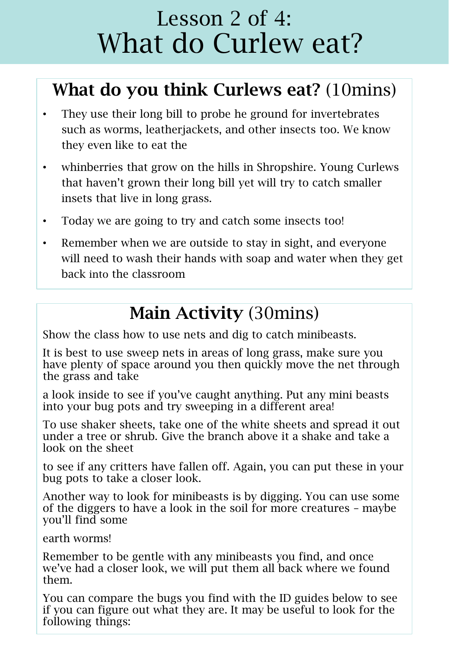### Lesson 2 of 4: What do Curlew eat?

### What do you think Curlews eat? (10mins)

- They use their long bill to probe he ground for invertebrates such as worms, leatherjackets, and other insects too. We know they even like to eat the
- whinberries that grow on the hills in Shropshire. Young Curlews that haven't grown their long bill yet will try to catch smaller insets that live in long grass.
- Today we are going to try and catch some insects too!
- Remember when we are outside to stay in sight, and everyone will need to wash their hands with soap and water when they get back into the classroom

### Main Activity (30mins)

Show the class how to use nets and dig to catch minibeasts.

It is best to use sweep nets in areas of long grass, make sure you have plenty of space around you then quickly move the net through the grass and take

a look inside to see if you've caught anything. Put any mini beasts into your bug pots and try sweeping in a different area!

To use shaker sheets, take one of the white sheets and spread it out under a tree or shrub. Give the branch above it a shake and take a look on the sheet

to see if any critters have fallen off. Again, you can put these in your bug pots to take a closer look.

Another way to look for minibeasts is by digging. You can use some of the diggers to have a look in the soil for more creatures – maybe you'll find some

earth worms!

Remember to be gentle with any minibeasts you find, and once we've had a closer look, we will put them all back where we found them.

You can compare the bugs you find with the ID guides below to see if you can figure out what they are. It may be useful to look for the following things: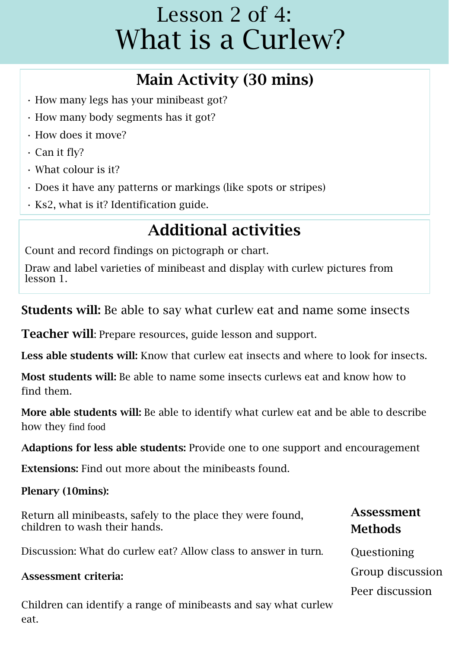### Lesson 2 of 4: What is a Curlew?

### Main Activity (30 mins)

- How many legs has your minibeast got?
- How many body segments has it got?
- How does it move?
- Can it fly?
- What colour is it?
- Does it have any patterns or markings (like spots or stripes)
- Ks2, what is it? Identification guide.

### Additional activities

Count and record findings on pictograph or chart.

Draw and label varieties of minibeast and display with curlew pictures from lesson 1.

Students will: Be able to say what curlew eat and name some insects

Teacher will: Prepare resources, guide lesson and support.

Less able students will: Know that curlew eat insects and where to look for insects.

Most students will: Be able to name some insects curlews eat and know how to find them.

More able students will: Be able to identify what curlew eat and be able to describe how they find food

Adaptions for less able students: Provide one to one support and encouragement

Extensions: Find out more about the minibeasts found.

Plenary (10mins):

| Return all minibeasts, safely to the place they were found,<br>children to wash their hands. | <b>Assessment</b><br><b>Methods</b> |
|----------------------------------------------------------------------------------------------|-------------------------------------|
| Discussion: What do curlew eat? Allow class to answer in turn.                               | Questioning                         |
| Assessment criteria:                                                                         | Group discussion                    |
|                                                                                              | Peer discussion                     |

Children can identify a range of minibeasts and say what curlew eat.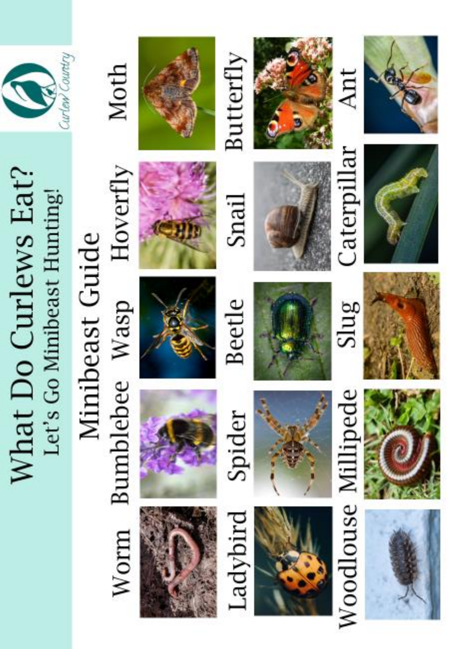## What Do Curlews Eat? Let's Go Minibeast Hunting!



### Hoverfly Minibeast Guide **Bumblebee** Wasp Worm

Moth







































Ant











Snail







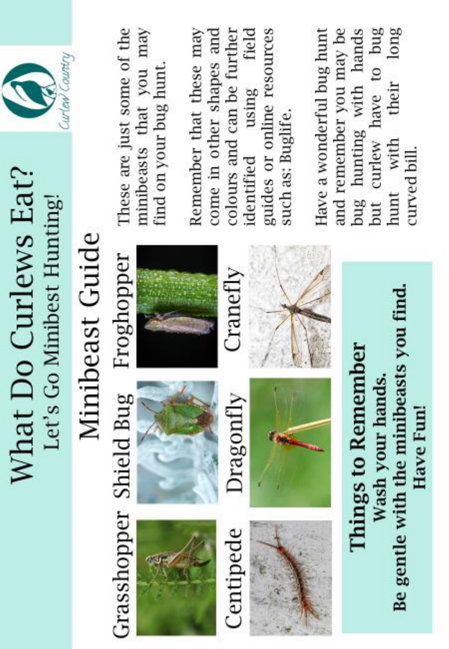## What Do Curlews Eat? Let's Go Minibest Hunting!



# Minibeast Guide

Grasshopper Shield Bug Froghopper





Dragonfly

Centipede

Cranetly











These are just some of the minibeasts that you may find on your bug hunt.

field Remember that these may colours and can be further guides or online resources come in other shapes and using such as: Buglife. identified

their long but curlew have to bug Have a wonderful bug hunt and remember you may be bug hunting with hands hunt with curved bill.

Be gentle with the minibeasts you find.

Have Fun!

Wash your hands.

**Things to Remember**